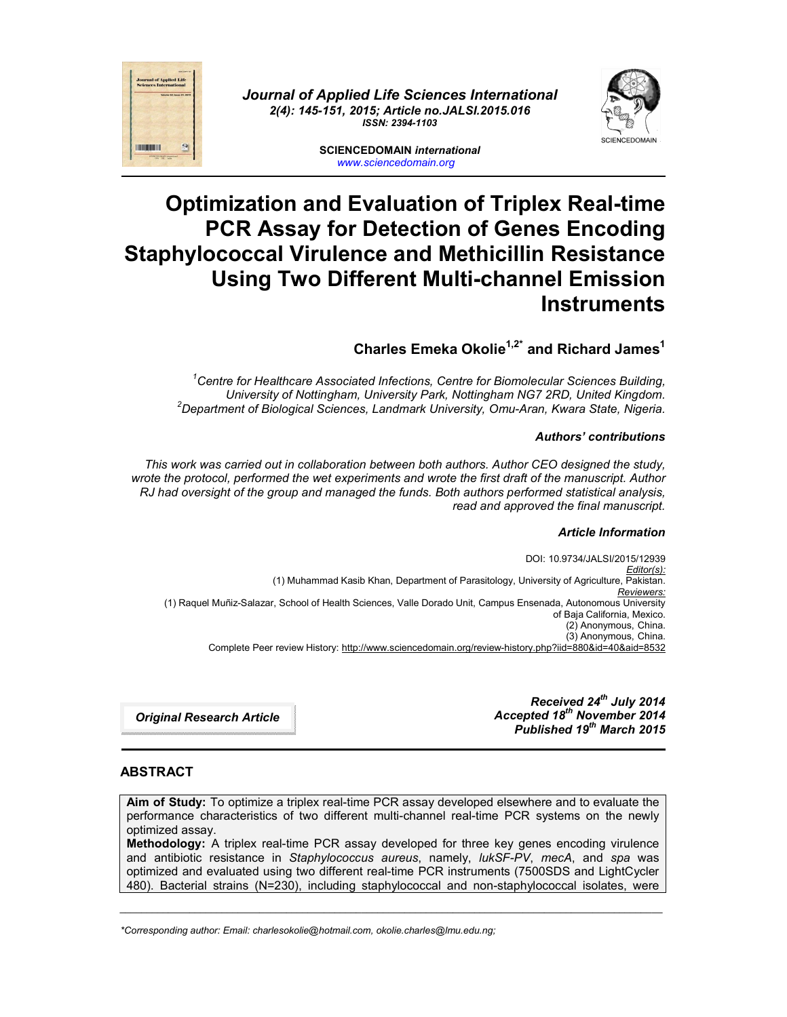



**SCIENCEDOMAIN** *international www.sciencedomain.org*

# **Optimization and Evaluation of Triplex Real-time PCR Assay for Detection of Genes Encoding Staphylococcal Virulence and Methicillin Resistance Using Two Different Multi-channel Emission Instruments**

# **Charles Emeka Okolie1,2\* and Richard James1**

*1 Centre for Healthcare Associated Infections, Centre for Biomolecular Sciences Building, University of Nottingham, University Park, Nottingham NG7 2RD, United Kingdom. <sup>2</sup> Department of Biological Sciences, Landmark University, Omu-Aran, Kwara State, Nigeria.*

#### *Authors' contributions*

*This work was carried out in collaboration between both authors. Author CEO designed the study, wrote the protocol, performed the wet experiments and wrote the first draft of the manuscript. Author RJ had oversight of the group and managed the funds. Both authors performed statistical analysis, read and approved the final manuscript.*

#### *Article Information*

DOI: 10.9734/JALSI/2015/12939 *Editor(s):* (1) Muhammad Kasib Khan, Department of Parasitology, University of Agriculture, Pakistan. *Reviewers:* (1) Raquel Muñiz-Salazar, School of Health Sciences, Valle Dorado Unit, Campus Ensenada, Autonomous University of Baja California, Mexico. (2) Anonymous, China. (3) Anonymous, China. Complete Peer review History: http://www.sciencedomain.org/review-history.php?iid=880&id=40&aid=8532

*Original Research Article*

*Received 24th July 2014 Accepted 18th November 2014 Published 19th March 2015*

#### **ABSTRACT**

**THE ROOM** 

**Aim of Study:** To optimize a triplex real-time PCR assay developed elsewhere and to evaluate the performance characteristics of two different multi-channel real-time PCR systems on the newly optimized assay.

**Methodology:** A triplex real-time PCR assay developed for three key genes encoding virulence and antibiotic resistance in *Staphylococcus aureus*, namely, *lukSF-PV*, *mecA*, and *spa* was optimized and evaluated using two different real-time PCR instruments (7500SDS and LightCycler 480). Bacterial strains (N=230), including staphylococcal and non-staphylococcal isolates, were

*\_\_\_\_\_\_\_\_\_\_\_\_\_\_\_\_\_\_\_\_\_\_\_\_\_\_\_\_\_\_\_\_\_\_\_\_\_\_\_\_\_\_\_\_\_\_\_\_\_\_\_\_\_\_\_\_\_\_\_\_\_\_\_\_\_\_\_\_\_\_\_\_\_\_\_\_\_\_\_\_\_\_\_\_\_\_\_\_\_\_\_\_\_\_\_\_\_\_\_\_\_*

*\*Corresponding author: Email: charlesokolie@hotmail.com, okolie.charles@lmu.edu.ng;*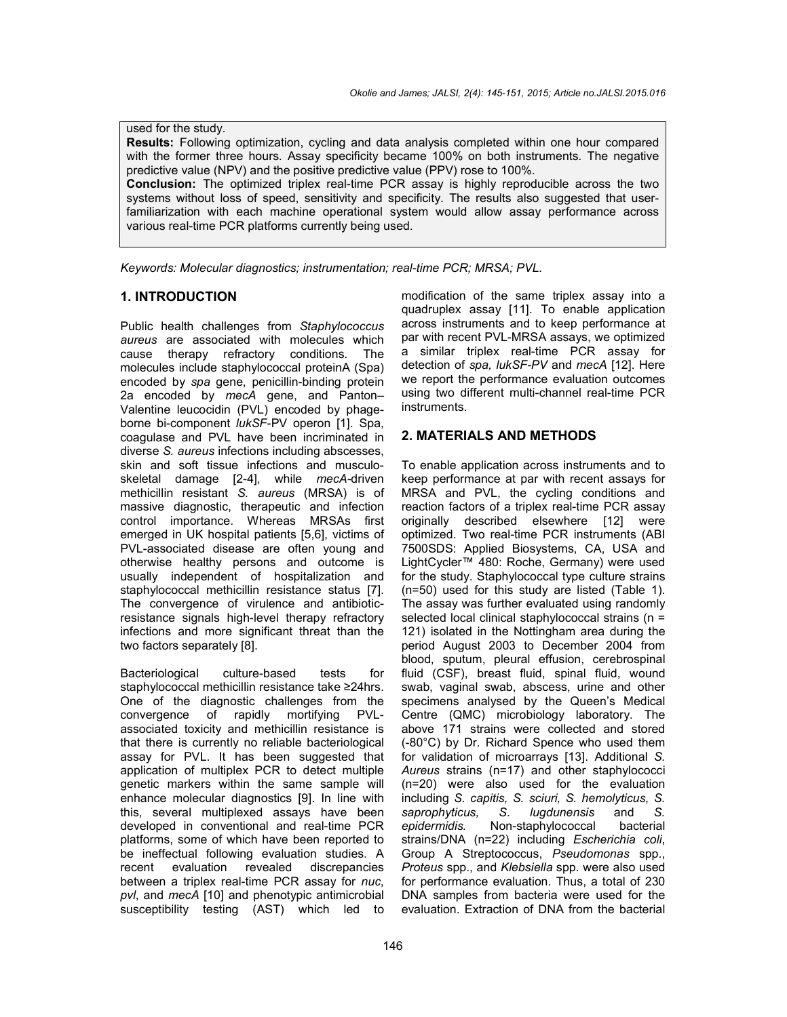used for the study. **Results:** Following optimization, cycling and data analysis completed within one hour compared with the former three hours. Assay specificity became 100% on both instruments. The negative predictive value (NPV) and the positive predictive value (PPV) rose to 100%. **Conclusion:** The optimized triplex real-time PCR assay is highly reproducible across the two systems without loss of speed, sensitivity and specificity. The results also suggested that userfamiliarization with each machine operational system would allow assay performance across various real-time PCR platforms currently being used.

*Keywords: Molecular diagnostics; instrumentation; real-time PCR; MRSA; PVL.*

#### **1. INTRODUCTION**

Public health challenges from *Staphylococcus aureus* are associated with molecules which cause therapy refractory conditions. The molecules include staphylococcal proteinA (Spa) encoded by *spa* gene, penicillin-binding protein 2a encoded by *mecA* gene, and Panton– Valentine leucocidin (PVL) encoded by phageborne bi-component *lukSF*-PV operon [1]. Spa, coagulase and PVL have been incriminated in diverse *S. aureus* infections including abscesses, skin and soft tissue infections and musculoskeletal damage [2-4], while *mecA-*driven methicillin resistant *S. aureus* (MRSA) is of massive diagnostic, therapeutic and infection control importance. Whereas MRSAs first emerged in UK hospital patients [5,6], victims of PVL-associated disease are often young and otherwise healthy persons and outcome is usually independent of hospitalization and staphylococcal methicillin resistance status [7]. The convergence of virulence and antibioticresistance signals high-level therapy refractory infections and more significant threat than the two factors separately [8].

Bacteriological culture-based tests for staphylococcal methicillin resistance take ≥24hrs. One of the diagnostic challenges from the convergence of rapidly mortifying PVLassociated toxicity and methicillin resistance is that there is currently no reliable bacteriological assay for PVL. It has been suggested that application of multiplex PCR to detect multiple genetic markers within the same sample will enhance molecular diagnostics [9]. In line with this, several multiplexed assays have been developed in conventional and real-time PCR platforms, some of which have been reported to be ineffectual following evaluation studies. A recent evaluation revealed discrepancies between a triplex real-time PCR assay for *nuc*, *pvl*, and *mecA* [10] and phenotypic antimicrobial susceptibility testing (AST) which led to

modification of the same triplex assay into a quadruplex assay [11]. To enable application across instruments and to keep performance at par with recent PVL-MRSA assays, we optimized a similar triplex real-time PCR assay for detection of *spa, lukSF-PV* and *mecA* [12]. Here we report the performance evaluation outcomes using two different multi-channel real-time PCR instruments.

#### **2. MATERIALS AND METHODS**

To enable application across instruments and to keep performance at par with recent assays for MRSA and PVL, the cycling conditions and reaction factors of a triplex real-time PCR assay originally described elsewhere [12] were optimized. Two real-time PCR instruments (ABI 7500SDS: Applied Biosystems, CA, USA and LightCycler™ 480: Roche, Germany) were used for the study. Staphylococcal type culture strains (n=50) used for this study are listed (Table 1). The assay was further evaluated using randomly selected local clinical staphylococcal strains (n = 121) isolated in the Nottingham area during the period August 2003 to December 2004 from blood, sputum, pleural effusion, cerebrospinal fluid (CSF), breast fluid, spinal fluid, wound swab, vaginal swab, abscess, urine and other specimens analysed by the Queen's Medical Centre (QMC) microbiology laboratory. The above 171 strains were collected and stored (-80°C) by Dr. Richard Spence who used them for validation of microarrays [13]. Additional *S. Aureus* strains (n=17) and other staphylococci (n=20) were also used for the evaluation including *S. capitis, S. sciuri, S. hemolyticus, S. saprophyticus, S. lugdunensis* and *S. epidermidis.* Non-staphylococcal bacterial strains/DNA (n=22) including *Escherichia coli*, Group A Streptococcus, *Pseudomonas* spp., *Proteus* spp., and *Klebsiella* spp. were also used for performance evaluation. Thus, a total of 230 DNA samples from bacteria were used for the evaluation. Extraction of DNA from the bacterial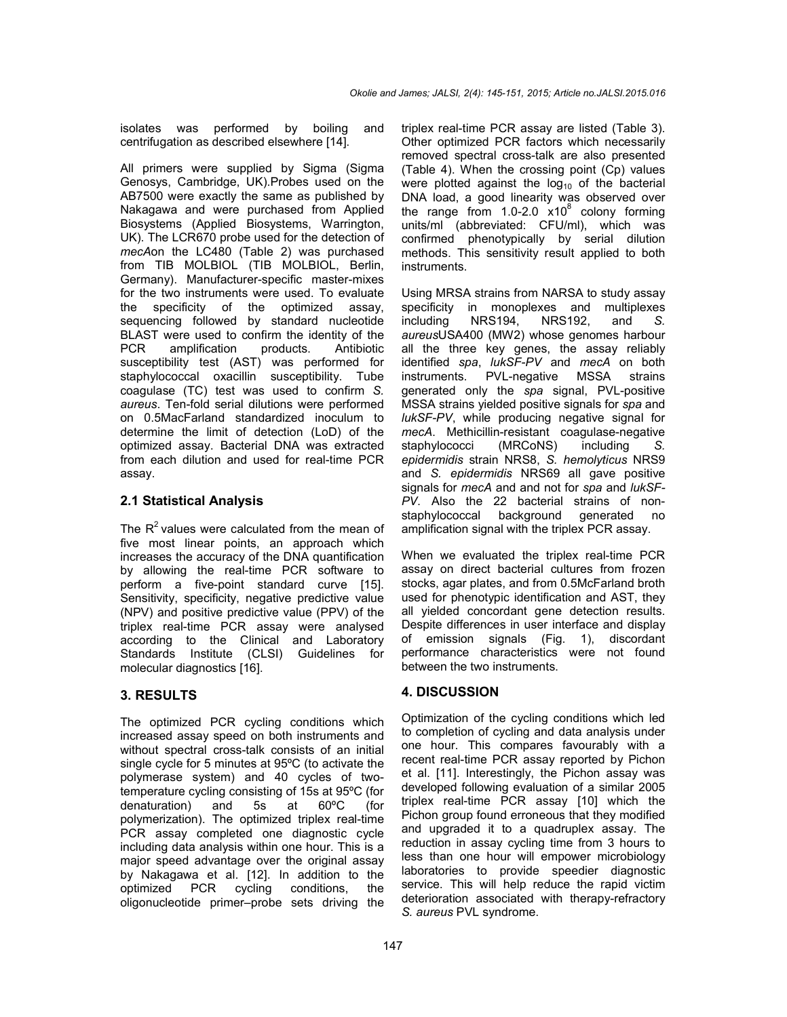isolates was performed by boiling and centrifugation as described elsewhere [14].

All primers were supplied by Sigma (Sigma Genosys, Cambridge, UK).Probes used on the AB7500 were exactly the same as published by Nakagawa and were purchased from Applied Biosystems (Applied Biosystems, Warrington, UK). The LCR670 probe used for the detection of *mecA*on the LC480 (Table 2) was purchased from TIB MOLBIOL (TIB MOLBIOL, Berlin, Germany). Manufacturer-specific master-mixes for the two instruments were used. To evaluate the specificity of the optimized assay, sequencing followed by standard nucleotide BLAST were used to confirm the identity of the PCR amplification products. Antibiotic susceptibility test (AST) was performed for staphylococcal oxacillin susceptibility. Tube coagulase (TC) test was used to confirm *S. aureus*. Ten-fold serial dilutions were performed on 0.5MacFarland standardized inoculum to determine the limit of detection (LoD) of the optimized assay. Bacterial DNA was extracted from each dilution and used for real-time PCR assay.

## **2.1 Statistical Analysis**

The  $R^2$  values were calculated from the mean of five most linear points, an approach which increases the accuracy of the DNA quantification by allowing the real-time PCR software to perform a five-point standard curve [15]. Sensitivity, specificity, negative predictive value (NPV) and positive predictive value (PPV) of the triplex real-time PCR assay were analysed according to the Clinical and Laboratory Standards Institute (CLSI) Guidelines for molecular diagnostics [16].

# **3. RESULTS**

The optimized PCR cycling conditions which increased assay speed on both instruments and without spectral cross-talk consists of an initial single cycle for 5 minutes at 95ºC (to activate the polymerase system) and 40 cycles of twotemperature cycling consisting of 15s at 95ºC (for denaturation) and 5s at 60ºC (for polymerization). The optimized triplex real-time PCR assay completed one diagnostic cycle including data analysis within one hour. This is a major speed advantage over the original assay by Nakagawa et al. [12]. In addition to the optimized PCR cycling conditions, the cycling conditions, the oligonucleotide primer–probe sets driving the

triplex real-time PCR assay are listed (Table 3). Other optimized PCR factors which necessarily removed spectral cross-talk are also presented (Table 4). When the crossing point (Cp) values were plotted against the  $log_{10}$  of the bacterial DNA load, a good linearity was observed over the range from  $1.0-2.0 \times 10^8$  colony forming units/ml (abbreviated: CFU/ml), which was confirmed phenotypically by serial dilution methods. This sensitivity result applied to both instruments.

Using MRSA strains from NARSA to study assay specificity in monoplexes and multiplexes including NRS194, NRS192, and *S. aureus*USA400 (MW2) whose genomes harbour all the three key genes, the assay reliably identified *spa*, *lukSF-PV* and *mecA* on both instruments. PVL-negative MSSA strains generated only the *spa* signal, PVL-positive MSSA strains yielded positive signals for *spa* and *lukSF-PV*, while producing negative signal for *mecA*. Methicillin-resistant coagulase-negative staphylococci (MRCoNS) including *S. epidermidis* strain NRS8, *S. hemolyticus* NRS9 and *S. epidermidis* NRS69 all gave positive signals for *mecA* and and not for *spa* and *lukSF-PV*. Also the 22 bacterial strains of nonstaphylococcal background generated no amplification signal with the triplex PCR assay.

When we evaluated the triplex real-time PCR assay on direct bacterial cultures from frozen stocks, agar plates, and from 0.5McFarland broth used for phenotypic identification and AST, they all yielded concordant gene detection results. Despite differences in user interface and display of emission signals (Fig. 1), discordant performance characteristics were not found between the two instruments.

# **4. DISCUSSION**

Optimization of the cycling conditions which led to completion of cycling and data analysis under one hour. This compares favourably with a recent real-time PCR assay reported by Pichon et al. [11]. Interestingly, the Pichon assay was developed following evaluation of a similar 2005 triplex real-time PCR assay [10] which the Pichon group found erroneous that they modified and upgraded it to a quadruplex assay. The reduction in assay cycling time from 3 hours to less than one hour will empower microbiology laboratories to provide speedier diagnostic service. This will help reduce the rapid victim deterioration associated with therapy-refractory *S. aureus* PVL syndrome.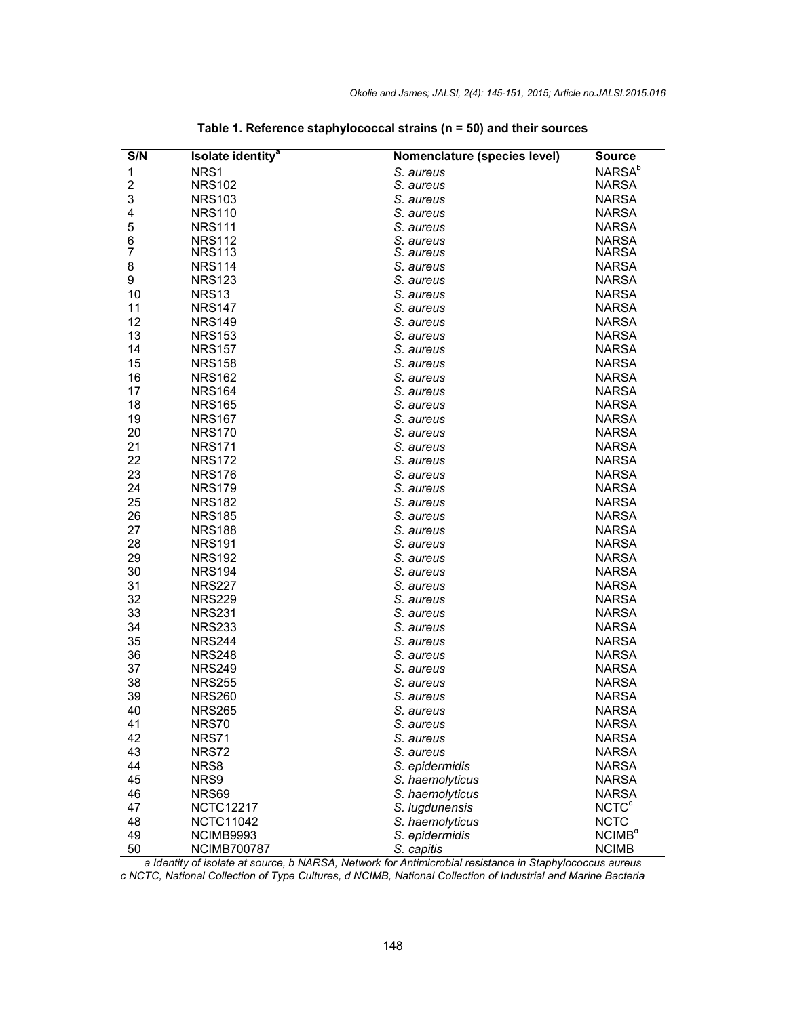| S/N | Isolate identity <sup>a</sup> | Nomenclature (species level) | <b>Source</b>             |
|-----|-------------------------------|------------------------------|---------------------------|
| 1   | NRS1                          | S. aureus                    | <b>NARSA</b> <sup>b</sup> |
| 2   | <b>NRS102</b>                 | S. aureus                    | <b>NARSA</b>              |
| 3   | <b>NRS103</b>                 | S. aureus                    | <b>NARSA</b>              |
| 4   | <b>NRS110</b>                 | S. aureus                    | <b>NARSA</b>              |
| 5   | <b>NRS111</b>                 | S. aureus                    | <b>NARSA</b>              |
| 6   | <b>NRS112</b>                 | S. aureus                    | <b>NARSA</b>              |
| 7   | <b>NRS113</b>                 | S. aureus                    | <b>NARSA</b>              |
| 8   | <b>NRS114</b>                 | S. aureus                    | <b>NARSA</b>              |
| 9   | <b>NRS123</b>                 | S. aureus                    | <b>NARSA</b>              |
| 10  | <b>NRS13</b>                  | S. aureus                    | <b>NARSA</b>              |
| 11  | <b>NRS147</b>                 | S. aureus                    | <b>NARSA</b>              |
| 12  | <b>NRS149</b>                 | S. aureus                    | <b>NARSA</b>              |
| 13  | <b>NRS153</b>                 | S. aureus                    | <b>NARSA</b>              |
| 14  | <b>NRS157</b>                 | S. aureus                    | <b>NARSA</b>              |
| 15  | <b>NRS158</b>                 | S. aureus                    | <b>NARSA</b>              |
| 16  | <b>NRS162</b>                 | S. aureus                    | <b>NARSA</b>              |
| 17  | <b>NRS164</b>                 | S. aureus                    | <b>NARSA</b>              |
| 18  | <b>NRS165</b>                 | S. aureus                    | <b>NARSA</b>              |
| 19  | <b>NRS167</b>                 | S. aureus                    | <b>NARSA</b>              |
| 20  | <b>NRS170</b>                 | S. aureus                    | <b>NARSA</b>              |
| 21  | <b>NRS171</b>                 | S. aureus                    | <b>NARSA</b>              |
| 22  | <b>NRS172</b>                 | S. aureus                    | <b>NARSA</b>              |
| 23  | <b>NRS176</b>                 | S. aureus                    | <b>NARSA</b>              |
| 24  | <b>NRS179</b>                 | S. aureus                    | <b>NARSA</b>              |
| 25  | <b>NRS182</b>                 | S. aureus                    | <b>NARSA</b>              |
| 26  | <b>NRS185</b>                 | S. aureus                    | <b>NARSA</b>              |
| 27  | <b>NRS188</b>                 | S. aureus                    | <b>NARSA</b>              |
| 28  | <b>NRS191</b>                 | S. aureus                    | <b>NARSA</b>              |
| 29  | <b>NRS192</b>                 | S. aureus                    | <b>NARSA</b>              |
| 30  | <b>NRS194</b>                 | S. aureus                    | <b>NARSA</b>              |
| 31  | <b>NRS227</b>                 | S. aureus                    | <b>NARSA</b>              |
| 32  | <b>NRS229</b>                 | S. aureus                    | <b>NARSA</b>              |
| 33  | <b>NRS231</b>                 | S. aureus                    | <b>NARSA</b>              |
| 34  | <b>NRS233</b>                 | S. aureus                    | <b>NARSA</b>              |
| 35  | <b>NRS244</b>                 | S. aureus                    | <b>NARSA</b>              |
| 36  | <b>NRS248</b>                 | S. aureus                    | <b>NARSA</b>              |
| 37  | <b>NRS249</b>                 | S. aureus                    | <b>NARSA</b>              |
| 38  | <b>NRS255</b>                 | S. aureus                    | <b>NARSA</b>              |
| 39  | <b>NRS260</b>                 | S. aureus                    | <b>NARSA</b>              |
| 40  | <b>NRS265</b>                 | S. aureus                    | <b>NARSA</b>              |
| 41  | NRS70                         | S. aureus                    | <b>NARSA</b>              |
| 42  | NRS71                         | S. aureus                    | <b>NARSA</b>              |
| 43  | NRS72                         | S. aureus                    | <b>NARSA</b>              |
| 44  | NRS8                          | S. epidermidis               | <b>NARSA</b>              |
| 45  | NRS9                          | S. haemolyticus              | <b>NARSA</b>              |
| 46  | NRS69                         | S. haemolyticus              | <b>NARSA</b>              |
| 47  | <b>NCTC12217</b>              | S. lugdunensis               | <b>NCTC<sup>c</sup></b>   |
| 48  | <b>NCTC11042</b>              | S. haemolyticus              | <b>NCTC</b>               |
| 49  | NCIMB9993                     | S. epidermidis               | NCIMB <sup>d</sup>        |
| 50  | <b>NCIMB700787</b>            | S. capitis                   | <b>NCIMB</b>              |

|  |  |  | Table 1. Reference staphylococcal strains ( $n = 50$ ) and their sources |
|--|--|--|--------------------------------------------------------------------------|
|--|--|--|--------------------------------------------------------------------------|

*a Identity of isolate at source, b NARSA, Network for Antimicrobial resistance in Staphylococcus aureus c NCTC, National Collection of Type Cultures, d NCIMB, National Collection of Industrial and Marine Bacteria*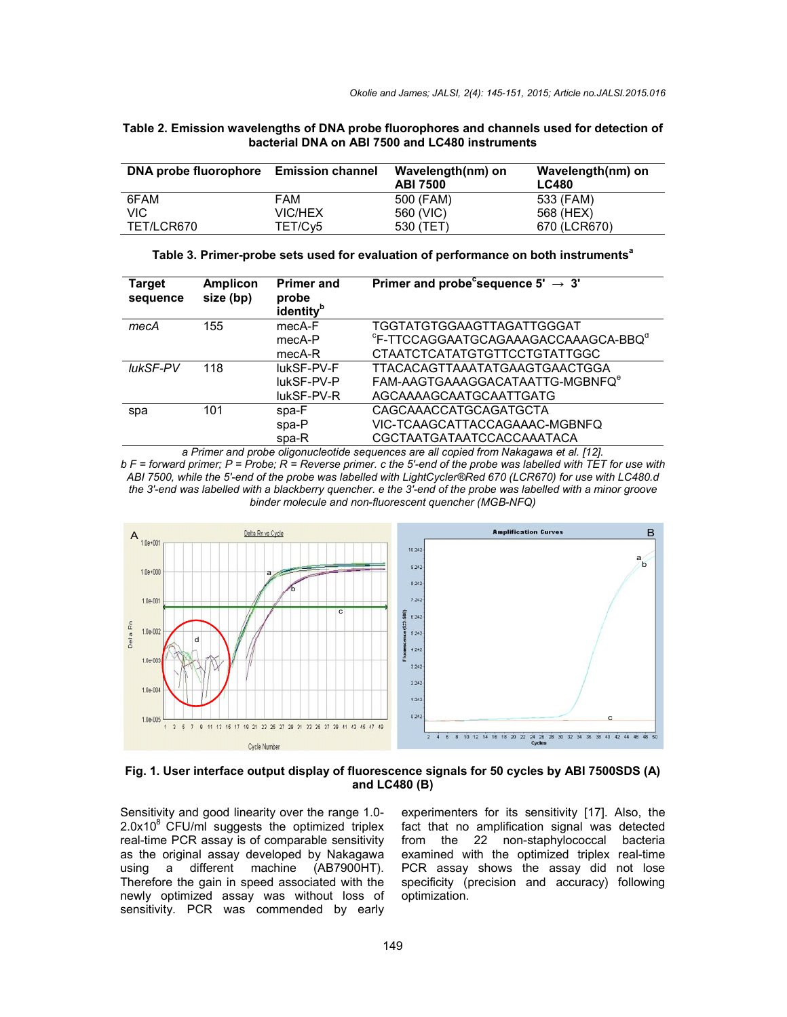| Table 2. Emission wavelengths of DNA probe fluorophores and channels used for detection of |
|--------------------------------------------------------------------------------------------|
| bacterial DNA on ABI 7500 and LC480 instruments                                            |
|                                                                                            |

| DNA probe fluorophore Emission channel |                | Wavelength(nm) on<br><b>ABI 7500</b> | Wavelength(nm) on<br><b>LC480</b> |
|----------------------------------------|----------------|--------------------------------------|-----------------------------------|
| 6FAM                                   | FAM            | 500 (FAM)                            | 533 (FAM)                         |
| VIC                                    | <b>VIC/HEX</b> | 560 (VIC)                            | 568 (HEX)                         |
| TET/LCR670                             | TET/Cy5        | 530 (TET)                            | 670 (LCR670)                      |

| Target<br>sequence | <b>Amplicon</b><br>size (bp) | <b>Primer and</b><br>probe<br>identity <sup>b</sup> | Primer and probe sequence $5' \rightarrow 3'$               |
|--------------------|------------------------------|-----------------------------------------------------|-------------------------------------------------------------|
| mecA               | 155                          | mecA-F                                              | TGGTATGTGGAAGTTAGATTGGGAT                                   |
|                    |                              | mecA-P                                              | <sup>c</sup> F-TTCCAGGAATGCAGAAAGACCAAAGCA-BBQ <sup>d</sup> |
|                    |                              | mecA-R                                              | CTAATCTCATATGTGTTCCTGTATTGGC                                |
| lukSF-PV           | 118                          | lukSF-PV-F                                          | TTACACAGTTAAATATGAAGTGAACTGGA                               |
|                    |                              | lukSF-PV-P                                          | FAM-AAGTGAAAGGACATAATTG-MGBNFQ <sup>e</sup>                 |
|                    |                              | lukSF-PV-R                                          | AGCAAAAGCAATGCAATTGATG                                      |
| spa                | 101                          | spa-F                                               | CAGCAAACCATGCAGATGCTA                                       |
|                    |                              | spa-P                                               | VIC-TCAAGCATTACCAGAAAC-MGBNFQ                               |
|                    |                              | spa-R                                               | CGCTAATGATAATCCACCAAATACA                                   |

Table 3. Primer-probe sets used for evaluation of performance on both instruments<sup>a</sup>

*a Primer and probe oligonucleotide sequences are all copied from Nakagawa et al. [12]. b F = forward primer; P = Probe; R = Reverse primer. c the 5′-end of the probe was labelled with TET for use with ABI 7500, while the 5′-end of the probe was labelled with LightCycler®Red 670 (LCR670) for use with LC480.d the 3′-end was labelled with a blackberry quencher. e the 3′-end of the probe was labelled with a minor groove binder molecule and non-fluorescent quencher (MGB-NFQ)*



**Fig. 1. User interface output display of fluorescence signals for 50 cycles by ABI 7500SDS (A) and LC480 (B)**

Sensitivity and good linearity over the range 1.0-  $2.0x10<sup>8</sup>$  CFU/ml suggests the optimized triplex real-time PCR assay is of comparable sensitivity as the original assay developed by Nakagawa<br>using a different machine (AB7900HT). using a different machine Therefore the gain in speed associated with the newly optimized assay was without loss of sensitivity. PCR was commended by early

experimenters for its sensitivity [17]. Also, the fact that no amplification signal was detected from the 22 non-staphylococcal bacteria examined with the optimized triplex real-time PCR assay shows the assay did not lose specificity (precision and accuracy) following optimization.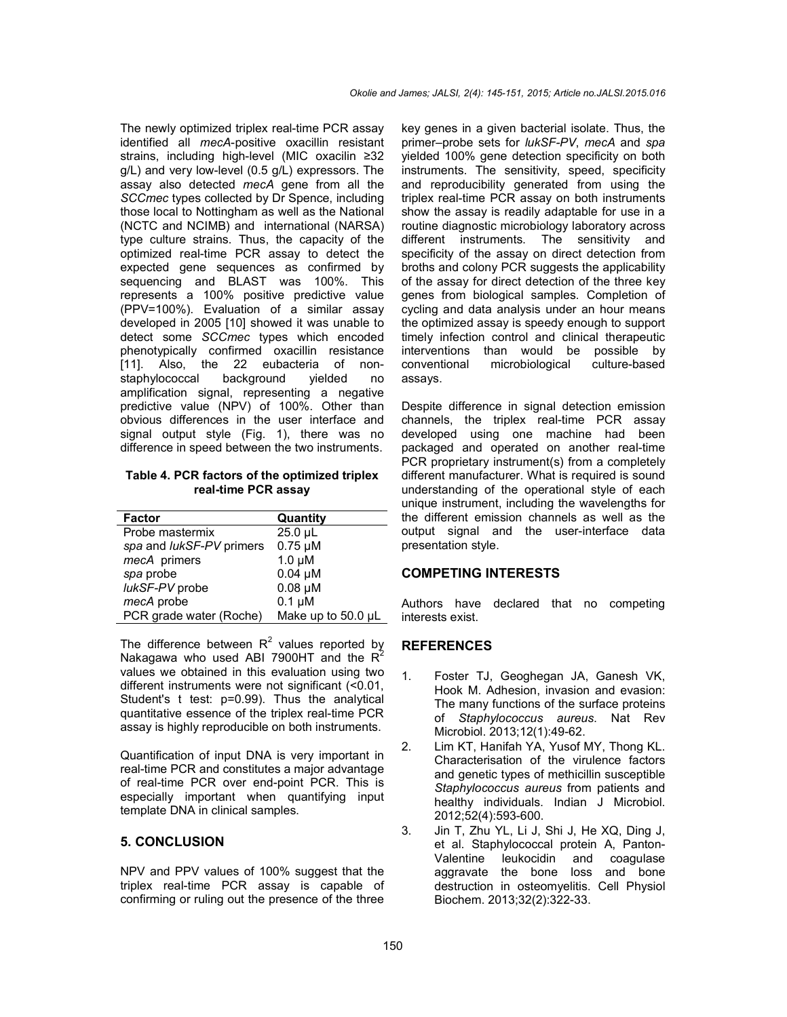The newly optimized triplex real-time PCR assay identified all *mecA*-positive oxacillin resistant strains, including high-level (MIC oxacilin ≥32 g/L) and very low-level (0.5 g/L) expressors. The assay also detected *mecA* gene from all the *SCCmec* types collected by Dr Spence, including those local to Nottingham as well as the National (NCTC and NCIMB) and international (NARSA) type culture strains. Thus, the capacity of the optimized real-time PCR assay to detect the expected gene sequences as confirmed by sequencing and BLAST was 100%. This represents a 100% positive predictive value (PPV=100%). Evaluation of a similar assay developed in 2005 [10] showed it was unable to detect some *SCCmec* types which encoded phenotypically confirmed oxacillin resistance [11]. Also, the 22 eubacteria of nonstaphylococcal background yielded no amplification signal, representing a negative predictive value (NPV) of 100%. Other than obvious differences in the user interface and signal output style (Fig. 1), there was no difference in speed between the two instruments.

**Table 4. PCR factors of the optimized triplex real-time PCR assay**

| <b>Factor</b>                   | Quantity           |
|---------------------------------|--------------------|
| Probe mastermix                 | $25.0 \mu L$       |
| spa and <i>lukSF-PV</i> primers | $0.75 \mu M$       |
| mecA primers                    | $1.0 \mu M$        |
| spa probe                       | $0.04 \mu M$       |
| lukSF-PV probe                  | $0.08 \mu M$       |
| mecA probe                      | $0.1 \mu M$        |
| PCR grade water (Roche)         | Make up to 50.0 µL |

The difference between  $R^2$  values reported by Nakagawa who used ABI 7900HT and the  $R^2$ values we obtained in this evaluation using two different instruments were not significant (<0.01, Student's t test: p=0.99). Thus the analytical quantitative essence of the triplex real-time PCR assay is highly reproducible on both instruments.

Quantification of input DNA is very important in real-time PCR and constitutes a major advantage of real-time PCR over end-point PCR. This is especially important when quantifying input template DNA in clinical samples.

### **5. CONCLUSION**

NPV and PPV values of 100% suggest that the triplex real-time PCR assay is capable of confirming or ruling out the presence of the three key genes in a given bacterial isolate. Thus, the primer–probe sets for *lukSF-PV*, *mecA* and *spa* yielded 100% gene detection specificity on both instruments. The sensitivity, speed, specificity and reproducibility generated from using the triplex real-time PCR assay on both instruments show the assay is readily adaptable for use in a routine diagnostic microbiology laboratory across different instruments. The sensitivity and specificity of the assay on direct detection from broths and colony PCR suggests the applicability of the assay for direct detection of the three key genes from biological samples. Completion of cycling and data analysis under an hour means the optimized assay is speedy enough to support timely infection control and clinical therapeutic interventions than would be possible by<br>conventional microbiological culture-based microbiological culture-based assays.

Despite difference in signal detection emission channels, the triplex real-time PCR assay developed using one machine had been packaged and operated on another real-time PCR proprietary instrument(s) from a completely different manufacturer. What is required is sound understanding of the operational style of each unique instrument, including the wavelengths for the different emission channels as well as the output signal and the user-interface data presentation style.

#### **COMPETING INTERESTS**

Authors have declared that no competing interests exist.

#### **REFERENCES**

- 1. Foster TJ, Geoghegan JA, Ganesh VK, Hook M. Adhesion, invasion and evasion: The many functions of the surface proteins of *Staphylococcus aureus*. Nat Rev Microbiol. 2013;12(1):49-62.
- 2. Lim KT, Hanifah YA, Yusof MY, Thong KL. Characterisation of the virulence factors and genetic types of methicillin susceptible *Staphylococcus aureus* from patients and healthy individuals. Indian J Microbiol. 2012;52(4):593-600.
- 3. Jin T, Zhu YL, Li J, Shi J, He XQ, Ding J, et al. Staphylococcal protein A, Pantonleukocidin and coagulase aggravate the bone loss and bone destruction in osteomyelitis. Cell Physiol Biochem. 2013;32(2):322-33.